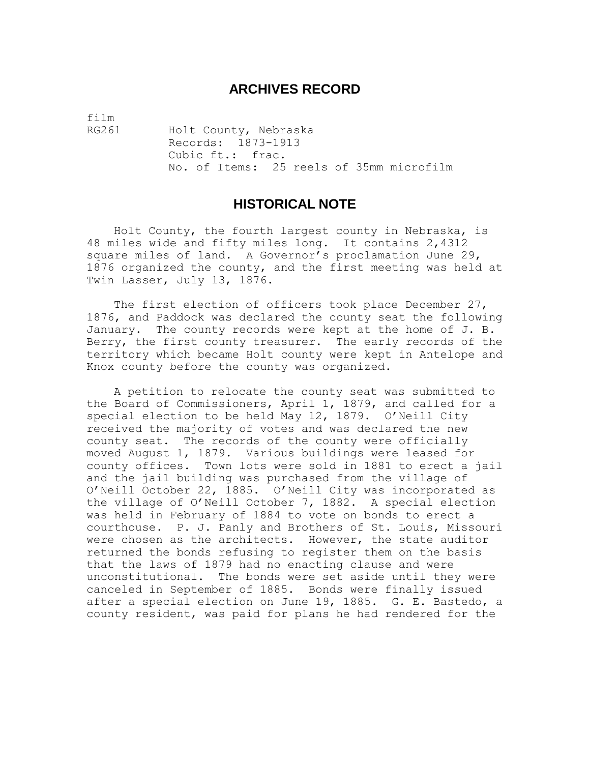# **ARCHIVES RECORD**

film

RG261 Holt County, Nebraska Records: 1873-1913 Cubic ft.: frac. No. of Items: 25 reels of 35mm microfilm

# **HISTORICAL NOTE**

Holt County, the fourth largest county in Nebraska, is 48 miles wide and fifty miles long. It contains 2,4312 square miles of land. A Governor's proclamation June 29, 1876 organized the county, and the first meeting was held at Twin Lasser, July 13, 1876.

The first election of officers took place December 27, 1876, and Paddock was declared the county seat the following January. The county records were kept at the home of J. B. Berry, the first county treasurer. The early records of the territory which became Holt county were kept in Antelope and Knox county before the county was organized.

A petition to relocate the county seat was submitted to the Board of Commissioners, April 1, 1879, and called for a special election to be held May 12, 1879. O'Neill City received the majority of votes and was declared the new county seat. The records of the county were officially moved August 1, 1879. Various buildings were leased for county offices. Town lots were sold in 1881 to erect a jail and the jail building was purchased from the village of O'Neill October 22, 1885. O'Neill City was incorporated as the village of O'Neill October 7, 1882. A special election was held in February of 1884 to vote on bonds to erect a courthouse. P. J. Panly and Brothers of St. Louis, Missouri were chosen as the architects. However, the state auditor returned the bonds refusing to register them on the basis that the laws of 1879 had no enacting clause and were unconstitutional. The bonds were set aside until they were canceled in September of 1885. Bonds were finally issued after a special election on June 19, 1885. G. E. Bastedo, a county resident, was paid for plans he had rendered for the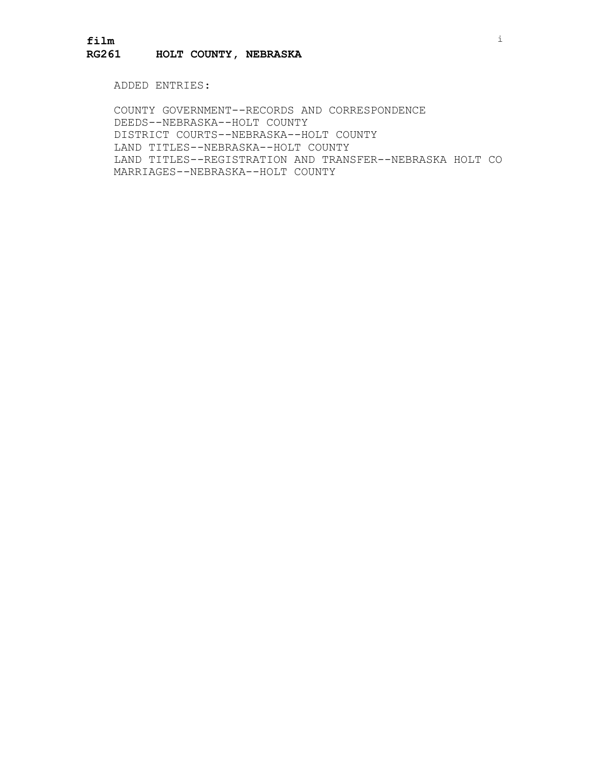#### **RG261 HOLT COUNTY, NEBRASKA**

ADDED ENTRIES:

COUNTY GOVERNMENT--RECORDS AND CORRESPONDENCE DEEDS--NEBRASKA--HOLT COUNTY DISTRICT COURTS--NEBRASKA--HOLT COUNTY LAND TITLES--NEBRASKA--HOLT COUNTY LAND TITLES--REGISTRATION AND TRANSFER--NEBRASKA HOLT CO MARRIAGES--NEBRASKA--HOLT COUNTY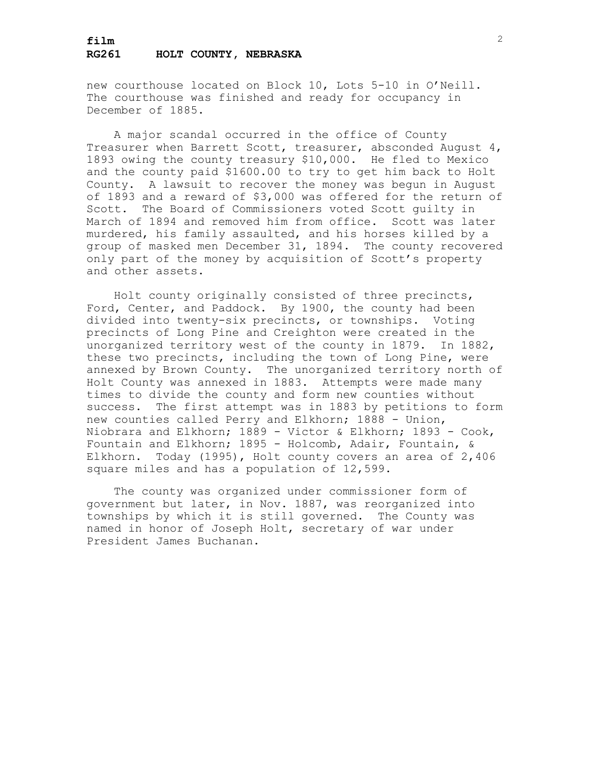## **film RG261 HOLT COUNTY, NEBRASKA**

new courthouse located on Block 10, Lots 5-10 in O'Neill. The courthouse was finished and ready for occupancy in December of 1885.

A major scandal occurred in the office of County Treasurer when Barrett Scott, treasurer, absconded August 4, 1893 owing the county treasury \$10,000. He fled to Mexico and the county paid \$1600.00 to try to get him back to Holt County. A lawsuit to recover the money was begun in August of 1893 and a reward of \$3,000 was offered for the return of Scott. The Board of Commissioners voted Scott guilty in March of 1894 and removed him from office. Scott was later murdered, his family assaulted, and his horses killed by a group of masked men December 31, 1894. The county recovered only part of the money by acquisition of Scott's property and other assets.

Holt county originally consisted of three precincts, Ford, Center, and Paddock. By 1900, the county had been divided into twenty-six precincts, or townships. Voting precincts of Long Pine and Creighton were created in the unorganized territory west of the county in 1879. In 1882, these two precincts, including the town of Long Pine, were annexed by Brown County. The unorganized territory north of Holt County was annexed in 1883. Attempts were made many times to divide the county and form new counties without success. The first attempt was in 1883 by petitions to form new counties called Perry and Elkhorn; 1888 - Union, Niobrara and Elkhorn; 1889 - Victor & Elkhorn; 1893 - Cook, Fountain and Elkhorn; 1895 - Holcomb, Adair, Fountain, & Elkhorn. Today (1995), Holt county covers an area of 2,406 square miles and has a population of 12,599.

The county was organized under commissioner form of government but later, in Nov. 1887, was reorganized into townships by which it is still governed. The County was named in honor of Joseph Holt, secretary of war under President James Buchanan.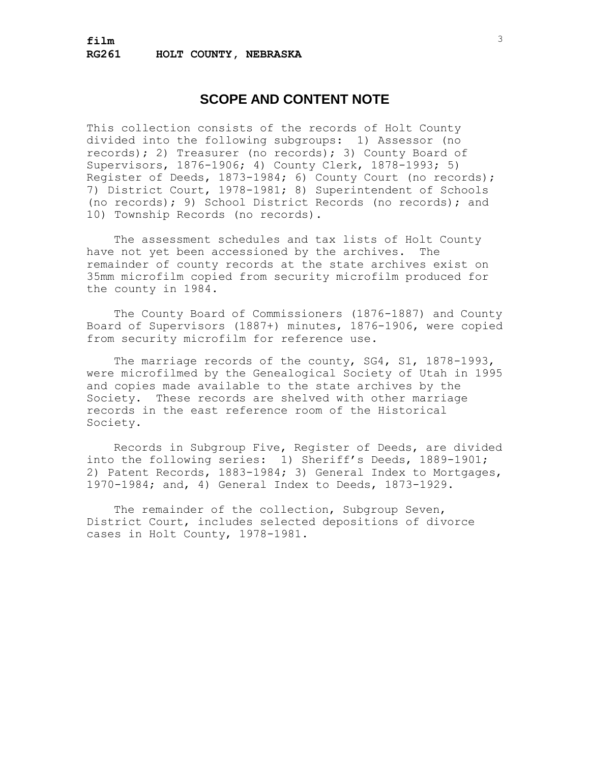# **SCOPE AND CONTENT NOTE**

This collection consists of the records of Holt County divided into the following subgroups: 1) Assessor (no records); 2) Treasurer (no records); 3) County Board of Supervisors, 1876-1906; 4) County Clerk, 1878-1993; 5) Register of Deeds, 1873-1984; 6) County Court (no records); 7) District Court, 1978-1981; 8) Superintendent of Schools (no records); 9) School District Records (no records); and 10) Township Records (no records).

The assessment schedules and tax lists of Holt County have not yet been accessioned by the archives. The remainder of county records at the state archives exist on 35mm microfilm copied from security microfilm produced for the county in 1984.

The County Board of Commissioners (1876-1887) and County Board of Supervisors (1887+) minutes, 1876-1906, were copied from security microfilm for reference use.

The marriage records of the county, SG4, S1, 1878-1993, were microfilmed by the Genealogical Society of Utah in 1995 and copies made available to the state archives by the Society. These records are shelved with other marriage records in the east reference room of the Historical Society.

Records in Subgroup Five, Register of Deeds, are divided into the following series: 1) Sheriff's Deeds, 1889-1901; 2) Patent Records, 1883-1984; 3) General Index to Mortgages, 1970-1984; and, 4) General Index to Deeds, 1873-1929.

The remainder of the collection, Subgroup Seven, District Court, includes selected depositions of divorce cases in Holt County, 1978-1981.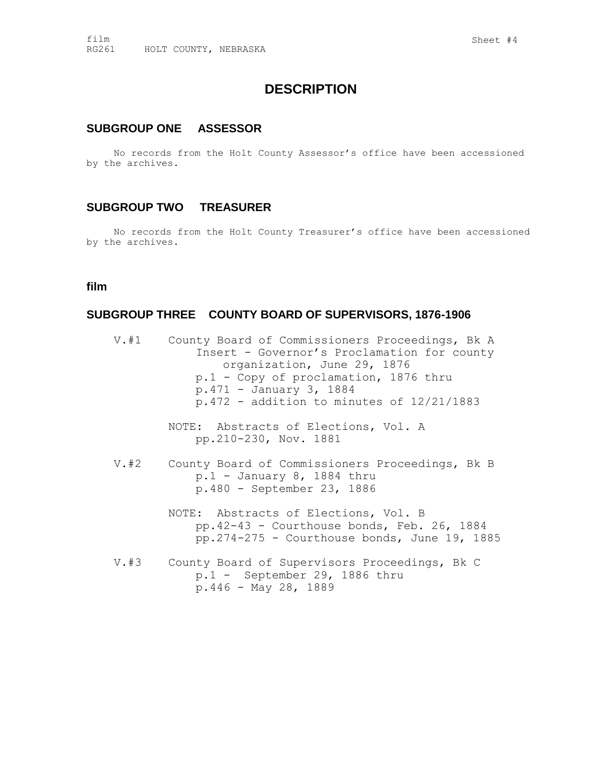# **DESCRIPTION**

### **SUBGROUP ONE ASSESSOR**

No records from the Holt County Assessor's office have been accessioned by the archives.

## **SUBGROUP TWO TREASURER**

No records from the Holt County Treasurer's office have been accessioned by the archives.

#### **film**

### **SUBGROUP THREE COUNTY BOARD OF SUPERVISORS, 1876-1906**

| V. #1 | County Board of Commissioners Proceedings, Bk A<br>Insert - Governor's Proclamation for county<br>organization, June 29, 1876<br>p.1 - Copy of proclamation, 1876 thru<br>$p.471 - January 3, 1884$<br>$p.472$ - addition to minutes of $12/21/1883$ |
|-------|------------------------------------------------------------------------------------------------------------------------------------------------------------------------------------------------------------------------------------------------------|
|       | NOTE: Abstracts of Elections, Vol. A<br>pp.210-230, Nov. 1881                                                                                                                                                                                        |
| V. #2 | County Board of Commissioners Proceedings, Bk B<br>$p.1$ - January 8, 1884 thru<br>p.480 - September 23, 1886                                                                                                                                        |
|       | NOTE: Abstracts of Elections, Vol. B<br>pp. 42-43 - Courthouse bonds, Feb. 26, 1884<br>pp.274-275 - Courthouse bonds, June 19, 1885                                                                                                                  |
| V. #3 | County Board of Supervisors Proceedings, Bk C<br>$p.1 - September 29, 1886$ thru<br>$p.446 - May 28, 1889$                                                                                                                                           |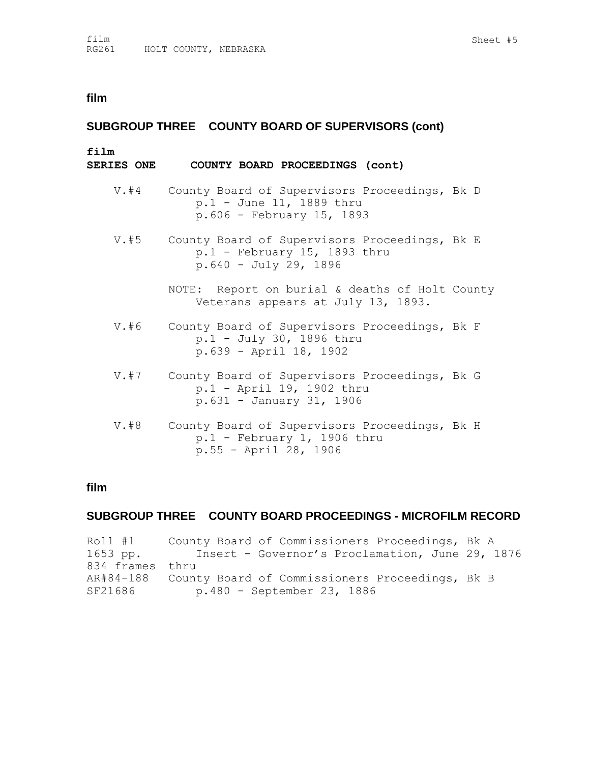# **SUBGROUP THREE COUNTY BOARD OF SUPERVISORS (cont)**

| film<br><b>SERIES ONE</b> | COUNTY BOARD PROCEEDINGS (cont)                                                                                 |
|---------------------------|-----------------------------------------------------------------------------------------------------------------|
|                           | V.#4 County Board of Supervisors Proceedings, Bk D<br>$p.1$ - June 11, 1889 thru<br>p.606 - February 15, 1893   |
|                           | V.#5 County Board of Supervisors Proceedings, Bk E<br>$p.1$ - February 15, 1893 thru<br>$p.640 - July 29, 1896$ |
|                           | NOTE: Report on burial & deaths of Holt County<br>Veterans appears at July 13, 1893.                            |
|                           | V.#6 County Board of Supervisors Proceedings, Bk F<br>$p.1 - July 30, 1896 thru$<br>p.639 - April 18, 1902      |
|                           | V.#7 County Board of Supervisors Proceedings, Bk G<br>$p.1$ - April 19, 1902 thru<br>p.631 - January 31, 1906   |
|                           | V.#8 County Board of Supervisors Proceedings, Bk H<br>$p.1$ - February 1, 1906 thru<br>p.55 - April 28, 1906    |

## **film**

# **SUBGROUP THREE COUNTY BOARD PROCEEDINGS - MICROFILM RECORD**

| Roll #1         | County Board of Commissioners Proceedings, Bk A           |  |
|-----------------|-----------------------------------------------------------|--|
| 1653 pp.        | Insert - Governor's Proclamation, June 29, 1876           |  |
| 834 frames thru |                                                           |  |
|                 | AR#84-188 County Board of Commissioners Proceedings, Bk B |  |
| SF21686         | p.480 - September 23, 1886                                |  |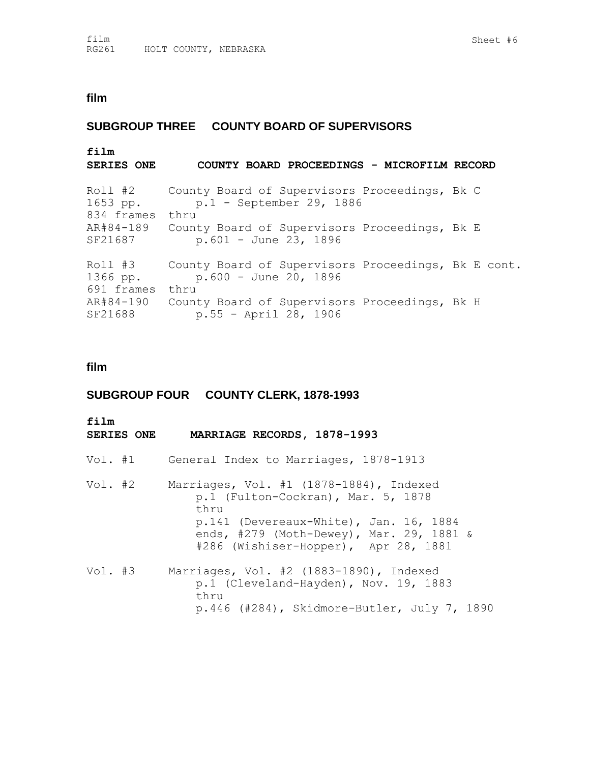## **SUBGROUP THREE COUNTY BOARD OF SUPERVISORS**

**film SERIES ONE COUNTY BOARD PROCEEDINGS - MICROFILM RECORD** Roll #2 County Board of Supervisors Proceedings, Bk C 1653 pp. p.1 - September 29, 1886 834 frames thru AR#84-189 County Board of Supervisors Proceedings, Bk E SF21687 p.601 - June 23, 1896 Roll #3 County Board of Supervisors Proceedings, Bk E cont. 1366 pp. p.600 - June 20, 1896 691 frames thru AR#84-190 County Board of Supervisors Proceedings, Bk H SF21688 p.55 - April 28, 1906

#### **film**

### **SUBGROUP FOUR COUNTY CLERK, 1878-1993**

| film<br><b>SERIES ONE</b> | MARRIAGE RECORDS, 1878-1993                                                                                                                                                                                         |
|---------------------------|---------------------------------------------------------------------------------------------------------------------------------------------------------------------------------------------------------------------|
|                           | Vol. #1 General Index to Marriages, 1878-1913                                                                                                                                                                       |
| Vol. $#2$                 | Marriages, Vol. #1 (1878-1884), Indexed<br>p.1 (Fulton-Cockran), Mar. 5, 1878<br>thru<br>p.141 (Devereaux-White), Jan. 16, 1884<br>ends, #279 (Moth-Dewey), Mar. 29, 1881 &<br>#286 (Wishiser-Hopper), Apr 28, 1881 |
| Vol. $#3$                 | Marriages, Vol. #2 (1883-1890), Indexed<br>p.1 (Cleveland-Hayden), Nov. 19, 1883<br>thru<br>p.446 (#284), Skidmore-Butler, July 7, 1890                                                                             |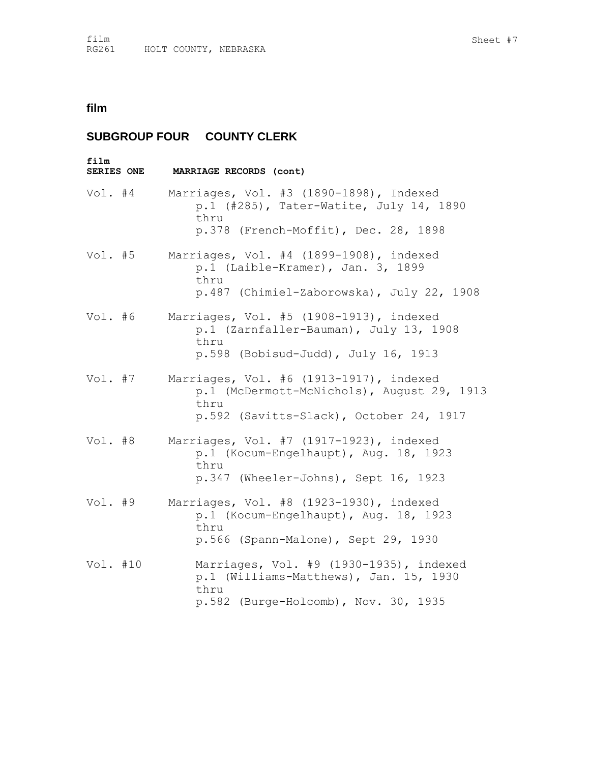# **SUBGROUP FOUR COUNTY CLERK**

| film<br>SERIES ONE | MARRIAGE RECORDS (cont)                                                                       |
|--------------------|-----------------------------------------------------------------------------------------------|
| Vol. $#4$          | Marriages, Vol. #3 (1890-1898), Indexed<br>p.1 (#285), Tater-Watite, July 14, 1890<br>thru    |
|                    | p.378 (French-Moffit), Dec. 28, 1898                                                          |
| Vol. $#5$          | Marriages, Vol. #4 (1899-1908), indexed<br>p.1 (Laible-Kramer), Jan. 3, 1899<br>thru          |
|                    | p.487 (Chimiel-Zaborowska), July 22, 1908                                                     |
| Vol. $#6$          | Marriages, Vol. #5 (1908-1913), indexed<br>p.1 (Zarnfaller-Bauman), July 13, 1908<br>thru     |
|                    | p.598 (Bobisud-Judd), July 16, 1913                                                           |
| Vol. $#7$          | Marriages, Vol. #6 (1913-1917), indexed<br>p.1 (McDermott-McNichols), August 29, 1913<br>thru |
|                    | p.592 (Savitts-Slack), October 24, 1917                                                       |
| Vol. #8            | Marriages, Vol. #7 (1917-1923), indexed<br>p.1 (Kocum-Engelhaupt), Aug. 18, 1923<br>thru      |
|                    | p.347 (Wheeler-Johns), Sept 16, 1923                                                          |
| Vol. #9            | Marriages, Vol. #8 (1923-1930), indexed<br>p.1 (Kocum-Engelhaupt), Aug. 18, 1923<br>thru      |
|                    | p.566 (Spann-Malone), Sept 29, 1930                                                           |
| Vol. #10           | Marriages, Vol. #9 (1930-1935), indexed<br>p.1 (Williams-Matthews), Jan. 15, 1930<br>thru     |
|                    | p.582 (Burge-Holcomb), Nov. 30, 1935                                                          |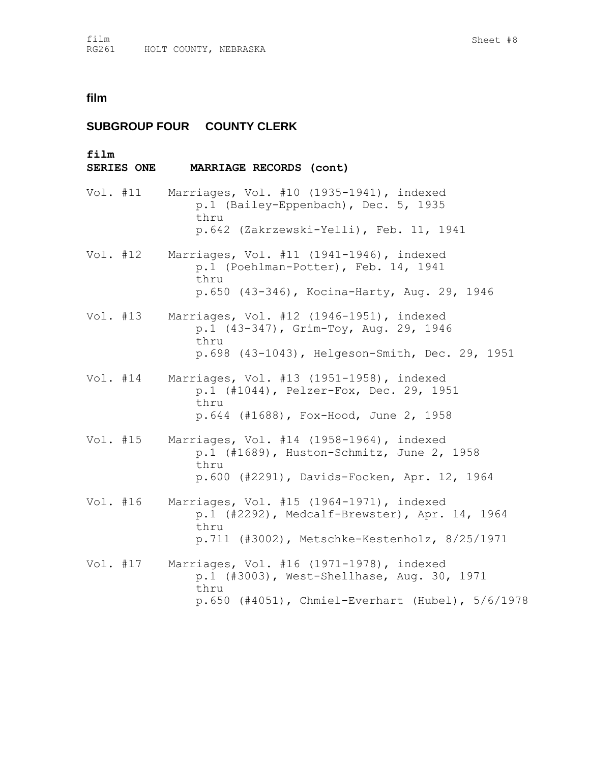# **SUBGROUP FOUR COUNTY CLERK**

| film<br><b>SERIES ONE</b> | MARRIAGE RECORDS (cont)                                                                                                                                         |
|---------------------------|-----------------------------------------------------------------------------------------------------------------------------------------------------------------|
| Vol. #11                  | Marriages, Vol. #10 (1935-1941), indexed<br>p.1 (Bailey-Eppenbach), Dec. 5, 1935<br>thru<br>p.642 (Zakrzewski-Yelli), Feb. 11, 1941                             |
| Vol. #12                  | Marriages, Vol. #11 (1941-1946), indexed<br>p.1 (Poehlman-Potter), Feb. 14, 1941<br>thru<br>p.650 (43-346), Kocina-Harty, Aug. 29, 1946                         |
| Vol. #13                  | Marriages, Vol. #12 (1946-1951), indexed<br>p.1 (43-347), Grim-Toy, Aug. 29, 1946<br>thru<br>p.698 (43-1043), Helgeson-Smith, Dec. 29, 1951                     |
| Vol. #14                  | Marriages, Vol. #13 (1951-1958), indexed<br>p.1 (#1044), Pelzer-Fox, Dec. 29, 1951<br>thru<br>p.644 (#1688), Fox-Hood, June 2, 1958                             |
| Vol. #15                  | Marriages, Vol. #14 (1958-1964), indexed<br>p.1 (#1689), Huston-Schmitz, June 2, 1958<br>thru<br>p.600 (#2291), Davids-Focken, Apr. 12, 1964                    |
| Vol. #16                  | Marriages, Vol. #15 (1964-1971), indexed<br>p.1 (#2292), Medcalf-Brewster), Apr. 14, 1964<br>thru<br>p.711 (#3002), Metschke-Kestenholz, 8/25/1971              |
|                           | Vol. $#17$ Marriages, Vol. $#16$ (1971-1978), indexed<br>p.1 (#3003), West-Shellhase, Aug. 30, 1971<br>thru<br>p.650 (#4051), Chmiel-Everhart (Hubel), 5/6/1978 |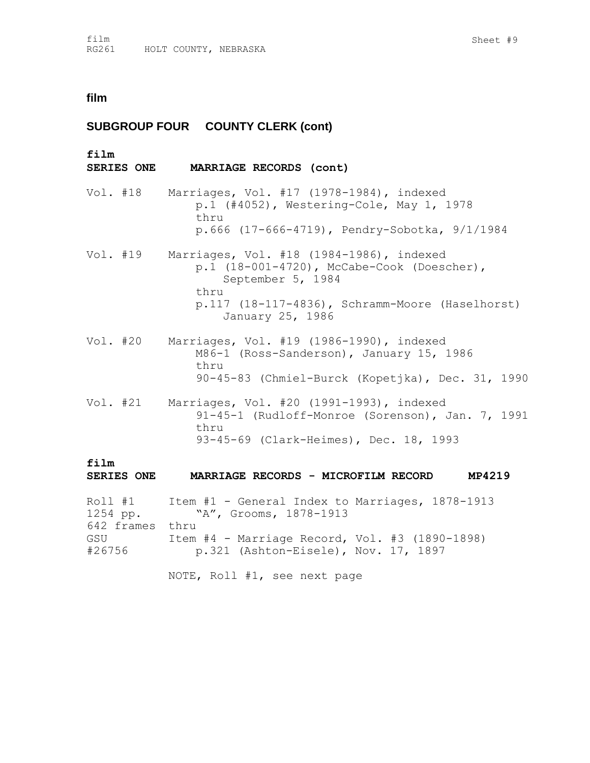# **SUBGROUP FOUR COUNTY CLERK (cont)**

| film                        | SERIES ONE MARRIAGE RECORDS (cont)                                                                                                                                                                    |
|-----------------------------|-------------------------------------------------------------------------------------------------------------------------------------------------------------------------------------------------------|
|                             | Vol. $#18$ Marriages, Vol. $#17$ (1978-1984), indexed<br>p.1 (#4052), Westering-Cole, May 1, 1978<br>thru<br>p.666 (17-666-4719), Pendry-Sobotka, 9/1/1984                                            |
|                             | Vol. #19 Marriages, Vol. #18 (1984-1986), indexed<br>p.1 (18-001-4720), McCabe-Cook (Doescher),<br>September 5, 1984<br>thru<br>$p.117$ (18-117-4836), Schramm-Moore (Haselhorst)<br>January 25, 1986 |
|                             | Vol. $#20$ Marriages, Vol. $#19$ (1986-1990), indexed<br>M86-1 (Ross-Sanderson), January 15, 1986<br>thru<br>90-45-83 (Chmiel-Burck (Kopetjka), Dec. 31, 1990                                         |
|                             | Vol. #21 Marriages, Vol. #20 (1991-1993), indexed<br>91-45-1 (Rudloff-Monroe (Sorenson), Jan. 7, 1991<br>thru<br>93-45-69 (Clark-Heimes), Dec. 18, 1993                                               |
| film                        |                                                                                                                                                                                                       |
| <b>SERIES ONE</b>           | MARRIAGE RECORDS - MICROFILM RECORD<br>MP4219                                                                                                                                                         |
| 1254 pp.<br>642 frames thru | Roll $#1$ Item $#1$ - General Index to Marriages, 1878-1913<br>"A", Grooms, 1878-1913                                                                                                                 |

GSU Item #4 - Marriage Record, Vol. #3 (1890-1898) #26756 p.321 (Ashton-Eisele), Nov. 17, 1897

NOTE, Roll #1, see next page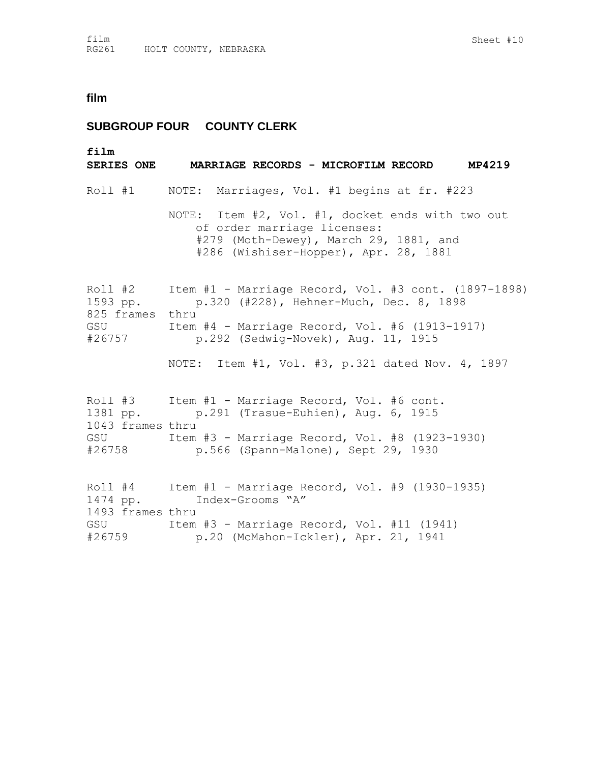# **SUBGROUP FOUR COUNTY CLERK**

| film<br><b>SERIES ONE</b>                          | MARRIAGE RECORDS - MICROFILM RECORD<br>MP4219                                                                                                                      |
|----------------------------------------------------|--------------------------------------------------------------------------------------------------------------------------------------------------------------------|
| Roll #1                                            | NOTE: Marriages, Vol. #1 begins at fr. #223                                                                                                                        |
|                                                    | NOTE: Item #2, Vol. #1, docket ends with two out<br>of order marriage licenses:<br>#279 (Moth-Dewey), March 29, 1881, and<br>#286 (Wishiser-Hopper), Apr. 28, 1881 |
| Roll #2<br>1593 pp.<br>825 frames<br>GSU<br>#26757 | Item #1 - Marriage Record, Vol. #3 cont. (1897-1898)<br>p.320 (#228), Hehner-Much, Dec. 8, 1898<br>thru                                                            |
|                                                    | Item #4 - Marriage Record, Vol. #6 (1913-1917)<br>p.292 (Sedwig-Novek), Aug. 11, 1915                                                                              |
|                                                    | NOTE: Item #1, Vol. #3, p.321 dated Nov. 4, 1897                                                                                                                   |
| 1043 frames thru<br>GSU<br>#26758                  | Roll #3 Item #1 - Marriage Record, Vol. #6 cont.<br>1381 pp. p.291 (Trasue-Euhien), Aug. 6, 1915                                                                   |
|                                                    | Item #3 - Marriage Record, Vol. #8 (1923-1930)<br>p.566 (Spann-Malone), Sept 29, 1930                                                                              |
| 1474 pp.<br>1493 frames thru<br>GSU<br>#26759      | Roll #4 Item #1 - Marriage Record, Vol. #9 (1930-1935)<br>Index-Grooms "A"                                                                                         |
|                                                    | Item #3 - Marriage Record, Vol. #11 (1941)<br>p.20 (McMahon-Ickler), Apr. 21, 1941                                                                                 |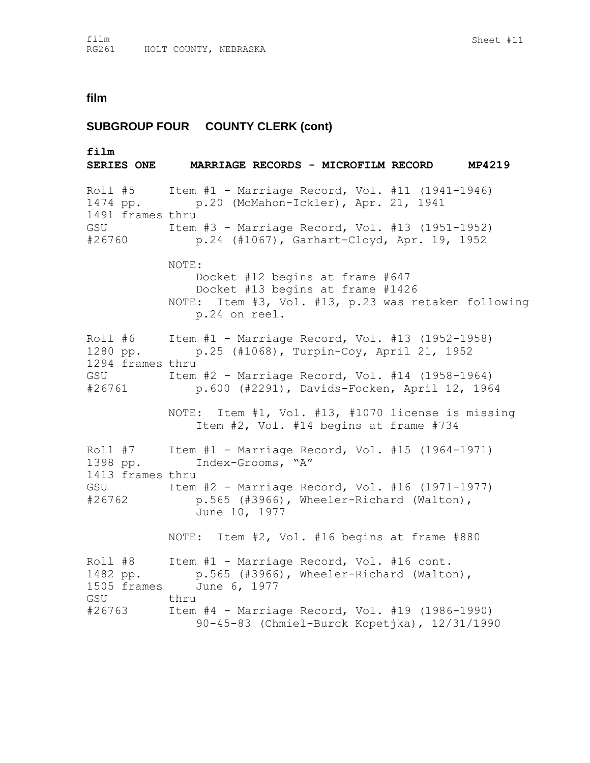#### **SUBGROUP FOUR COUNTY CLERK (cont)**

**film SERIES ONE MARRIAGE RECORDS - MICROFILM RECORD MP4219** Roll #5 Item #1 - Marriage Record, Vol. #11 (1941-1946) 1474 pp. p.20 (McMahon-Ickler), Apr. 21, 1941 1491 frames thru GSU Item #3 - Marriage Record, Vol. #13 (1951-1952) #26760 p.24 (#1067), Garhart-Cloyd, Apr. 19, 1952 NOTE: Docket #12 begins at frame #647 Docket #13 begins at frame #1426 NOTE: Item #3, Vol. #13, p.23 was retaken following p.24 on reel. Roll #6 Item #1 - Marriage Record, Vol. #13 (1952-1958) 1280 pp. p.25 (#1068), Turpin-Coy, April 21, 1952 1294 frames thru GSU Item #2 - Marriage Record, Vol. #14 (1958-1964) #26761 p.600 (#2291), Davids-Focken, April 12, 1964 NOTE: Item #1, Vol. #13, #1070 license is missing Item #2, Vol. #14 begins at frame #734 Roll #7 Item #1 - Marriage Record, Vol. #15 (1964-1971) 1398 pp. Index-Grooms, "A" 1413 frames thru GSU Item #2 - Marriage Record, Vol. #16 (1971-1977) #26762 p.565 (#3966), Wheeler-Richard (Walton), June 10, 1977 NOTE: Item #2, Vol. #16 begins at frame #880 Roll #8 Item #1 - Marriage Record, Vol. #16 cont. 1482 pp. p.565 (#3966), Wheeler-Richard (Walton), 1505 frames June 6, 1977 GSU thru #26763 Item #4 - Marriage Record, Vol. #19 (1986-1990) 90-45-83 (Chmiel-Burck Kopetjka), 12/31/1990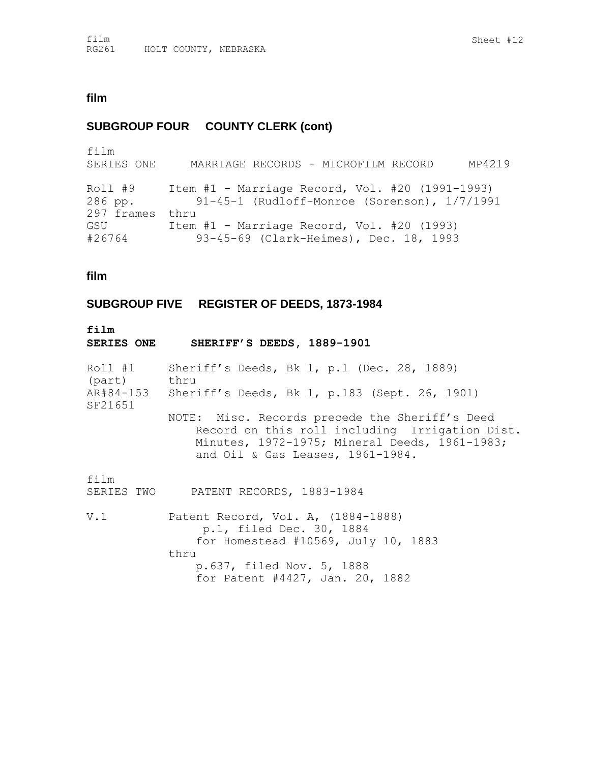## **SUBGROUP FOUR COUNTY CLERK (cont)**

film SERIES ONE MARRIAGE RECORDS - MICROFILM RECORD MP4219 Roll #9 Item #1 - Marriage Record, Vol. #20 (1991-1993) 286 pp. 91-45-1 (Rudloff-Monroe (Sorenson), 1/7/1991 297 frames thru GSU Item #1 - Marriage Record, Vol. #20 (1993) #26764 93-45-69 (Clark-Heimes), Dec. 18, 1993

**film**

### **SUBGROUP FIVE REGISTER OF DEEDS, 1873-1984**

| film<br><b>SERIES ONE</b> | SHERIFF'S DEEDS, 1889-1901                                                                                                                                                            |
|---------------------------|---------------------------------------------------------------------------------------------------------------------------------------------------------------------------------------|
| (part) thru               | Roll #1 Sheriff's Deeds, Bk 1, p.1 (Dec. 28, 1889)                                                                                                                                    |
| SF21651                   | AR#84-153 Sheriff's Deeds, Bk 1, p.183 (Sept. 26, 1901)                                                                                                                               |
|                           | NOTE: Misc. Records precede the Sheriff's Deed<br>Record on this roll including Irrigation Dist.<br>Minutes, 1972-1975; Mineral Deeds, 1961-1983;<br>and Oil & Gas Leases, 1961-1984. |
| film                      | SERIES TWO PATENT RECORDS, 1883-1984                                                                                                                                                  |
| V.1                       | Patent Record, Vol. A, (1884-1888)<br>p.1, filed Dec. 30, 1884<br>for Homestead #10569, July 10, 1883                                                                                 |
|                           | thru                                                                                                                                                                                  |
|                           | p.637, filed Nov. 5, 1888                                                                                                                                                             |
|                           | for Patent #4427, Jan. 20, 1882                                                                                                                                                       |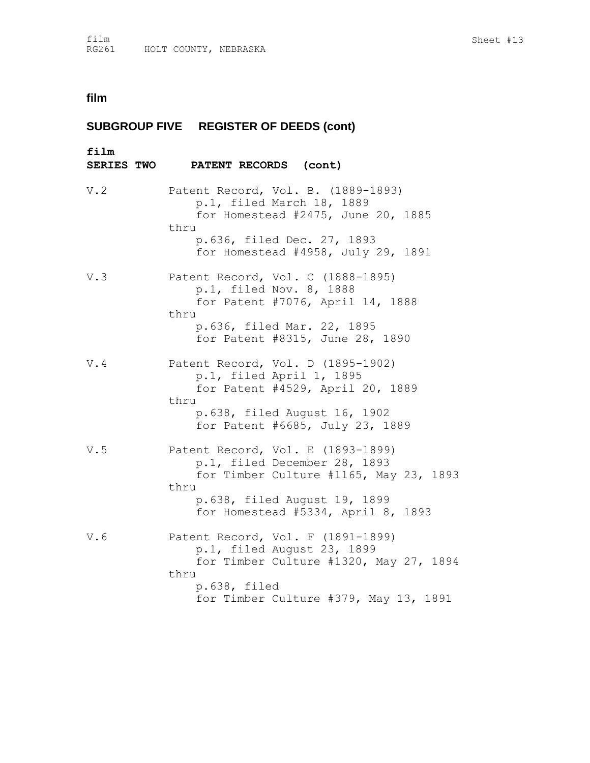| film | SERIES TWO PATENT RECORDS (cont)                                                                                                                    |
|------|-----------------------------------------------------------------------------------------------------------------------------------------------------|
| V.2  | Patent Record, Vol. B. (1889-1893)<br>p.1, filed March 18, 1889<br>for Homestead #2475, June 20, 1885<br>thru<br>p.636, filed Dec. 27, 1893         |
|      | for Homestead #4958, July 29, 1891                                                                                                                  |
| V.3  | Patent Record, Vol. C (1888-1895)<br>p.1, filed Nov. 8, 1888<br>for Patent #7076, April 14, 1888<br>thru<br>p.636, filed Mar. 22, 1895              |
|      | for Patent #8315, June 28, 1890                                                                                                                     |
| V.4  | Patent Record, Vol. D (1895-1902)<br>p.1, filed April 1, 1895<br>for Patent #4529, April 20, 1889<br>thru                                           |
|      | p.638, filed August 16, 1902<br>for Patent #6685, July 23, 1889                                                                                     |
| V.5  | Patent Record, Vol. E (1893-1899)<br>p.1, filed December 28, 1893<br>for Timber Culture #1165, May 23, 1893<br>thru<br>p.638, filed August 19, 1899 |
|      | for Homestead #5334, April 8, 1893                                                                                                                  |
| V.6  | Patent Record, Vol. F (1891-1899)<br>p.1, filed August 23, 1899<br>for Timber Culture #1320, May 27, 1894<br>thru                                   |
|      | p.638, filed                                                                                                                                        |
|      | for Timber Culture #379, May 13, 1891                                                                                                               |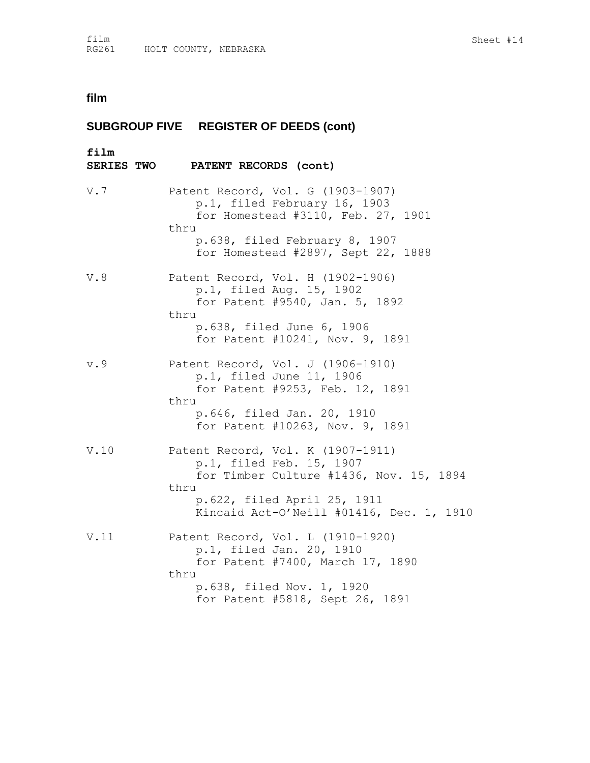| film | SERIES TWO PATENT RECORDS (cont)                                                                                                                                                            |
|------|---------------------------------------------------------------------------------------------------------------------------------------------------------------------------------------------|
| V.7  | Patent Record, Vol. G (1903-1907)<br>p.1, filed February 16, 1903<br>for Homestead #3110, Feb. 27, 1901<br>thru<br>p.638, filed February 8, 1907<br>for Homestead #2897, Sept 22, 1888      |
| V.8  | Patent Record, Vol. H (1902-1906)<br>p.1, filed Aug. 15, 1902<br>for Patent #9540, Jan. 5, 1892<br>thru<br>p.638, filed June 6, 1906<br>for Patent #10241, Nov. 9, 1891                     |
| v.9  | Patent Record, Vol. J (1906-1910)<br>p.1, filed June 11, 1906<br>for Patent #9253, Feb. 12, 1891<br>thru<br>p.646, filed Jan. 20, 1910<br>for Patent #10263, Nov. 9, 1891                   |
| V.10 | Patent Record, Vol. K (1907-1911)<br>p.1, filed Feb. 15, 1907<br>for Timber Culture #1436, Nov. 15, 1894<br>thru<br>p.622, filed April 25, 1911<br>Kincaid Act-O'Neill #01416, Dec. 1, 1910 |
| V.11 | Patent Record, Vol. L (1910-1920)<br>p.1, filed Jan. 20, 1910<br>for Patent #7400, March 17, 1890<br>thru<br>p.638, filed Nov. 1, 1920<br>for Patent #5818, Sept 26, 1891                   |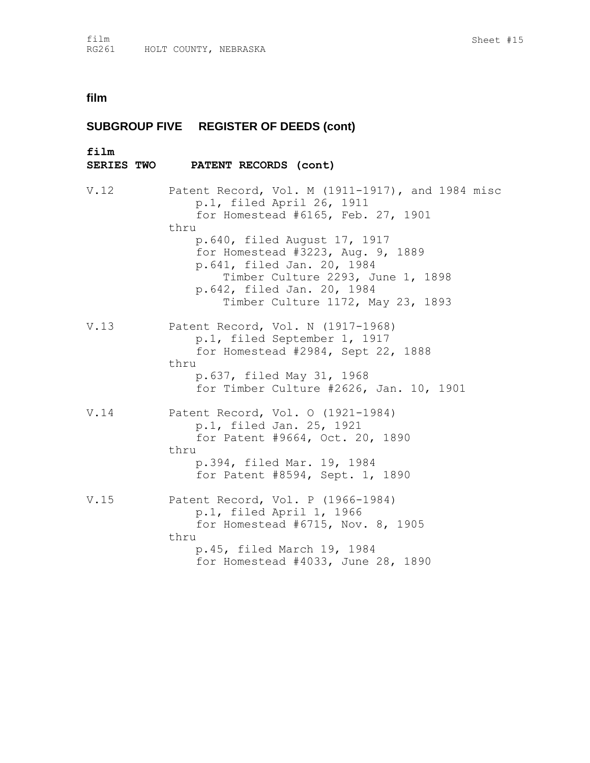| film | SERIES TWO PATENT RECORDS (cont)                                                                                                                                                                        |
|------|---------------------------------------------------------------------------------------------------------------------------------------------------------------------------------------------------------|
| V.12 | Patent Record, Vol. M (1911-1917), and 1984 misc<br>p.1, filed April 26, 1911<br>for Homestead #6165, Feb. 27, 1901<br>thru                                                                             |
|      | p.640, filed August 17, 1917<br>for Homestead #3223, Aug. 9, 1889<br>p.641, filed Jan. 20, 1984<br>Timber Culture 2293, June 1, 1898<br>p.642, filed Jan. 20, 1984<br>Timber Culture 1172, May 23, 1893 |
| V.13 | Patent Record, Vol. N (1917-1968)<br>p.1, filed September 1, 1917<br>for Homestead #2984, Sept 22, 1888<br>thru<br>p.637, filed May 31, 1968<br>for Timber Culture #2626, Jan. 10, 1901                 |
| V.14 | Patent Record, Vol. 0 (1921-1984)<br>p.1, filed Jan. 25, 1921<br>for Patent #9664, Oct. 20, 1890<br>thru<br>p.394, filed Mar. 19, 1984<br>for Patent #8594, Sept. 1, 1890                               |
| V.15 | Patent Record, Vol. P (1966-1984)<br>p.1, filed April 1, 1966<br>for Homestead #6715, Nov. 8, 1905<br>thru<br>p.45, filed March 19, 1984<br>for Homestead #4033, June 28, 1890                          |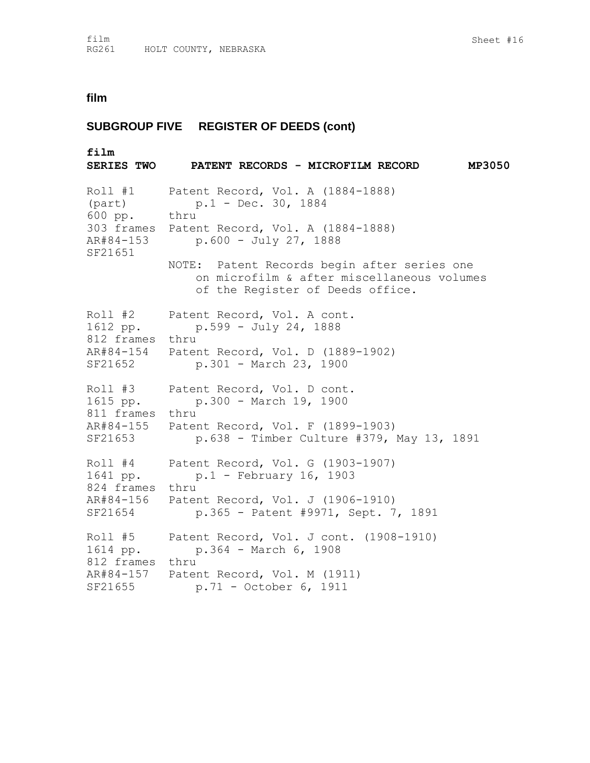#### **SUBGROUP FIVE REGISTER OF DEEDS (cont)**

**film SERIES TWO PATENT RECORDS - MICROFILM RECORD MP3050** Roll #1 Patent Record, Vol. A (1884-1888) (part) p.1 - Dec. 30, 1884 600 pp. thru 303 frames Patent Record, Vol. A (1884-1888) AR#84-153 p.600 - July 27, 1888 SF21651 NOTE: Patent Records begin after series one on microfilm & after miscellaneous volumes of the Register of Deeds office. Roll #2 Patent Record, Vol. A cont. 1612 pp. p.599 - July 24, 1888 812 frames thru AR#84-154 Patent Record, Vol. D (1889-1902) SF21652 p.301 - March 23, 1900 Roll #3 Patent Record, Vol. D cont.<br>1615 pp. p.300 - March 19, 1900 p.300 - March 19, 1900 811 frames thru AR#84-155 Patent Record, Vol. F (1899-1903) SF21653 p.638 - Timber Culture #379, May 13, 1891 Roll #4 Patent Record, Vol. G (1903-1907) 1641 pp. p.1 - February 16, 1903 824 frames thru AR#84-156 Patent Record, Vol. J (1906-1910) SF21654 p.365 - Patent #9971, Sept. 7, 1891 Roll #5 Patent Record, Vol. J cont. (1908-1910) 1614 pp. p.364 - March 6, 1908 812 frames thru AR#84-157 Patent Record, Vol. M (1911) SF21655 p.71 - October 6, 1911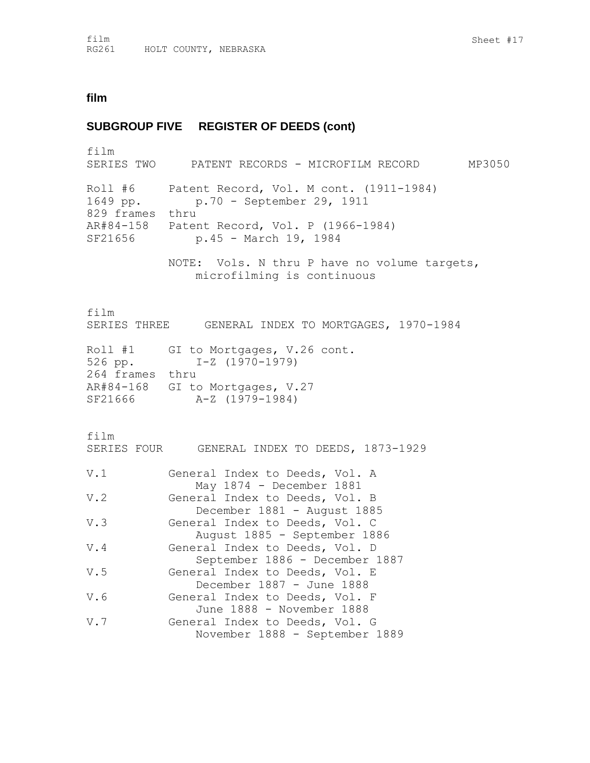#### **SUBGROUP FIVE REGISTER OF DEEDS (cont)**

film SERIES TWO PATENT RECORDS - MICROFILM RECORD MP3050 Roll #6 Patent Record, Vol. M cont. (1911-1984) 1649 pp. p.70 - September 29, 1911 829 frames thru AR#84-158 Patent Record, Vol. P (1966-1984) SF21656 p.45 - March 19, 1984 NOTE: Vols. N thru P have no volume targets, microfilming is continuous film SERIES THREE GENERAL INDEX TO MORTGAGES, 1970-1984 Roll #1 GI to Mortgages, V.26 cont. 526 pp. I-Z (1970-1979) 264 frames thru AR#84-168 GI to Mortgages, V.27 SF21666 A-Z (1979-1984) film SERIES FOUR GENERAL INDEX TO DEEDS, 1873-1929 V.1 General Index to Deeds, Vol. A May 1874 - December 1881 V.2 General Index to Deeds, Vol. B December 1881 - August 1885 V.3 General Index to Deeds, Vol. C August 1885 - September 1886 V.4 General Index to Deeds, Vol. D September 1886 - December 1887 V.5 General Index to Deeds, Vol. E December 1887 - June 1888 V.6 General Index to Deeds, Vol. F June 1888 - November 1888 V.7 General Index to Deeds, Vol. G November 1888 - September 1889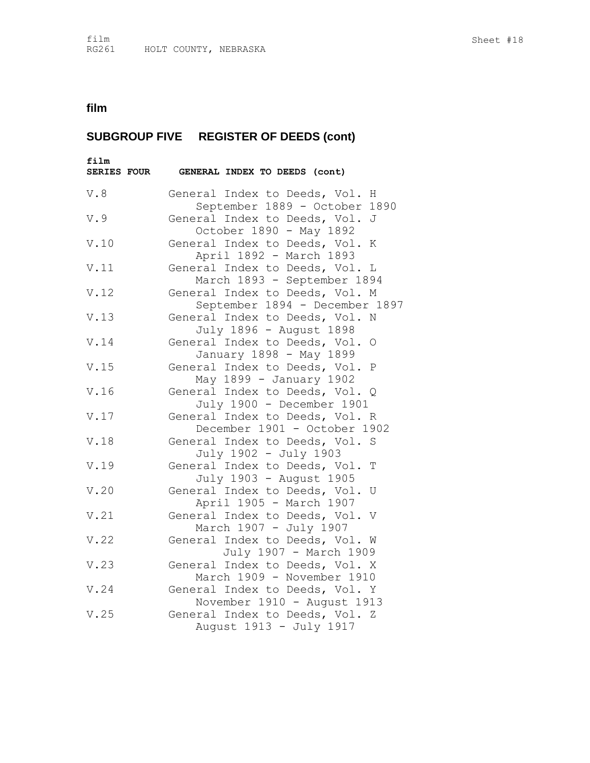| film<br><b>SERIES FOUR</b> | GENERAL INDEX TO DEEDS (cont)                                    |
|----------------------------|------------------------------------------------------------------|
| V.8                        | General Index to Deeds, Vol. H<br>September 1889 - October 1890  |
| V.9                        | General Index to Deeds, Vol.<br>J<br>October 1890 - May 1892     |
| V.10                       | General Index to Deeds, Vol. K<br>April 1892 - March 1893        |
| V.11                       | General Index to Deeds, Vol. L<br>March 1893 - September 1894    |
| V.12                       | General Index to Deeds, Vol. M<br>September 1894 - December 1897 |
| V.13                       | General Index to Deeds, Vol. N<br>July 1896 - August 1898        |
| V.14                       | General Index to Deeds, Vol.<br>O<br>January 1898 - May 1899     |
| V.15                       | General Index to Deeds, Vol.<br>Ρ<br>May 1899 - January 1902     |
| V.16                       | General Index to Deeds, Vol. Q<br>July 1900 - December 1901      |
| V.17                       | General Index to Deeds, Vol. R<br>December 1901 - October 1902   |
| V.18                       | General Index to Deeds, Vol. S<br>July 1902 - July 1903          |
| V.19                       | General Index to Deeds, Vol.<br>т<br>July 1903 - August 1905     |
| V.20                       | General Index to Deeds, Vol.<br>U<br>April 1905 - March 1907     |
| V.21                       | General Index to Deeds, Vol. V<br>March 1907 - July 1907         |
| V.22                       | General Index to Deeds, Vol. W<br>July 1907 - March 1909         |
| V.23                       | General Index to Deeds, Vol. X<br>March 1909 - November 1910     |
| V.24                       | General Index to Deeds, Vol. Y<br>November 1910 - August 1913    |
| V.25                       | General Index to Deeds, Vol. Z<br>August 1913 - July 1917        |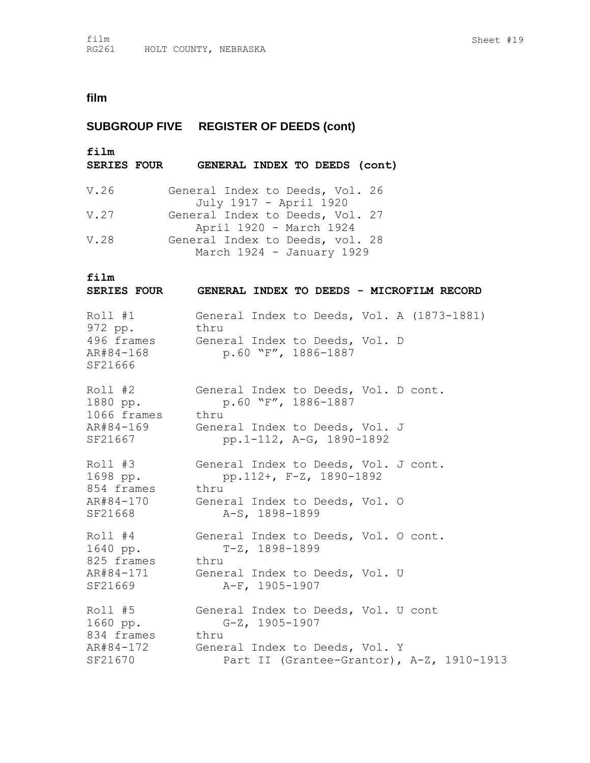## **SUBGROUP FIVE REGISTER OF DEEDS (cont)**

# **film SERIES FOUR GENERAL INDEX TO DEEDS (cont)** V.26 General Index to Deeds, Vol. 26 July 1917 - April 1920 V.27 General Index to Deeds, Vol. 27 April 1920 - March 1924 V.28 General Index to Deeds, vol. 28 March 1924 - January 1929

## **film**

| <b>SERIES FOUR</b> |  |  |  |  |  | GENERAL INDEX TO DEEDS - MICROFILM RECORD |  |
|--------------------|--|--|--|--|--|-------------------------------------------|--|
|--------------------|--|--|--|--|--|-------------------------------------------|--|

| Roll #1     | General Index to Deeds, Vol. A (1873-1881) |
|-------------|--------------------------------------------|
| 972 pp.     | thru                                       |
| AR#84-168   | 496 frames General Index to Deeds, Vol. D  |
| SF21666     | p.60 "F", 1886-1887                        |
| Roll #2     | General Index to Deeds, Vol. D cont.       |
| 1880 pp.    | p.60 "F", 1886-1887                        |
| 1066 frames | thru                                       |
| AR#84-169   | General Index to Deeds, Vol. J             |
| SF21667     | pp.1-112, A-G, 1890-1892                   |
| Roll #3     | General Index to Deeds, Vol. J cont.       |
| 1698 pp.    | pp.112+, F-Z, 1890-1892                    |
| 854 frames  | thru                                       |
| AR#84-170   | General Index to Deeds, Vol. O             |
| SF21668     | A-S, 1898-1899                             |
| Roll #4     | General Index to Deeds, Vol. O cont.       |
| 1640 pp.    | $T-Z$ , 1898-1899                          |
| 825 frames  | thru                                       |
| AR#84-171   | General Index to Deeds, Vol. U             |
| SF21669     | A-F, 1905-1907                             |
| Roll #5     | General Index to Deeds, Vol. U cont        |
| 1660 pp.    | G-Z, 1905-1907                             |
| 834 frames  | thru                                       |
| AR#84-172   | General Index to Deeds, Vol. Y             |
| SF21670     | Part II (Grantee-Grantor), A-Z, 1910-1913  |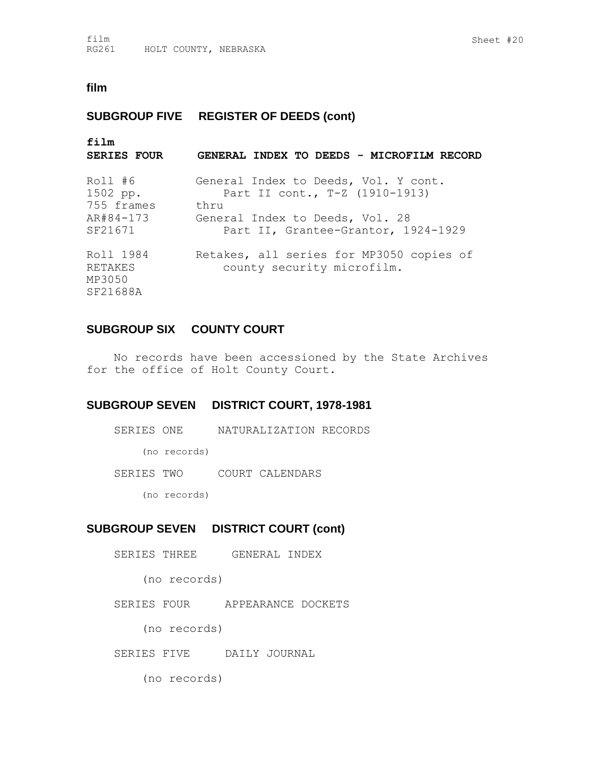film RG261 HOLT COUNTY, NEBRASKA

#### **film**

## **SUBGROUP FIVE REGISTER OF DEEDS (cont)**

| film<br><b>SERIES FOUR</b>                 | GENERAL INDEX TO DEEDS - MICROFILM RECORD                              |
|--------------------------------------------|------------------------------------------------------------------------|
| Roll #6                                    | General Index to Deeds, Vol. Y cont.                                   |
| 1502 pp.                                   | Part II cont., T-Z (1910-1913)                                         |
| 755 frames                                 | thru                                                                   |
| AR#84-173                                  | General Index to Deeds, Vol. 28                                        |
| SF21671                                    | Part II, Grantee-Grantor, 1924-1929                                    |
| Roll 1984<br>RETAKES<br>MP3050<br>SF21688A | Retakes, all series for MP3050 copies of<br>county security microfilm. |

### **SUBGROUP SIX COUNTY COURT**

No records have been accessioned by the State Archives for the office of Holt County Court.

#### **SUBGROUP SEVEN DISTRICT COURT, 1978-1981**

SERIES ONE NATURALIZATION RECORDS

(no records)

SERIES TWO COURT CALENDARS

(no records)

## **SUBGROUP SEVEN DISTRICT COURT (cont)**

SERIES THREE GENERAL INDEX

(no records)

SERIES FOUR APPEARANCE DOCKETS

(no records)

SERIES FIVE DAILY JOURNAL

(no records)